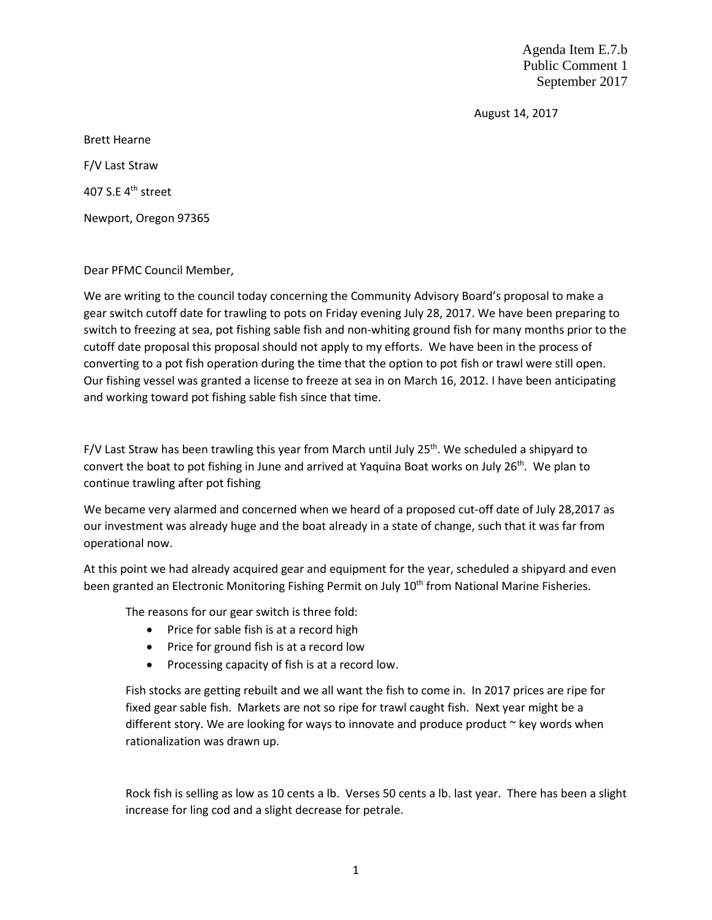Agenda Item E.7.b Public Comment 1 September 2017

August 14, 2017

Brett Hearne F/V Last Straw 407 S.E 4<sup>th</sup> street Newport, Oregon 97365

Dear PFMC Council Member,

We are writing to the council today concerning the Community Advisory Board's proposal to make a gear switch cutoff date for trawling to pots on Friday evening July 28, 2017. We have been preparing to switch to freezing at sea, pot fishing sable fish and non-whiting ground fish for many months prior to the cutoff date proposal this proposal should not apply to my efforts. We have been in the process of converting to a pot fish operation during the time that the option to pot fish or trawl were still open. Our fishing vessel was granted a license to freeze at sea in on March 16, 2012. I have been anticipating and working toward pot fishing sable fish since that time.

F/V Last Straw has been trawling this year from March until July 25<sup>th</sup>. We scheduled a shipyard to convert the boat to pot fishing in June and arrived at Yaquina Boat works on July 26<sup>th</sup>. We plan to continue trawling after pot fishing

We became very alarmed and concerned when we heard of a proposed cut-off date of July 28,2017 as our investment was already huge and the boat already in a state of change, such that it was far from operational now.

At this point we had already acquired gear and equipment for the year, scheduled a shipyard and even been granted an Electronic Monitoring Fishing Permit on July 10<sup>th</sup> from National Marine Fisheries.

The reasons for our gear switch is three fold:

- Price for sable fish is at a record high
- Price for ground fish is at a record low
- Processing capacity of fish is at a record low.

Fish stocks are getting rebuilt and we all want the fish to come in. In 2017 prices are ripe for fixed gear sable fish. Markets are not so ripe for trawl caught fish. Next year might be a different story. We are looking for ways to innovate and produce product  $\sim$  key words when rationalization was drawn up.

Rock fish is selling as low as 10 cents a lb. Verses 50 cents a lb. last year. There has been a slight increase for ling cod and a slight decrease for petrale.